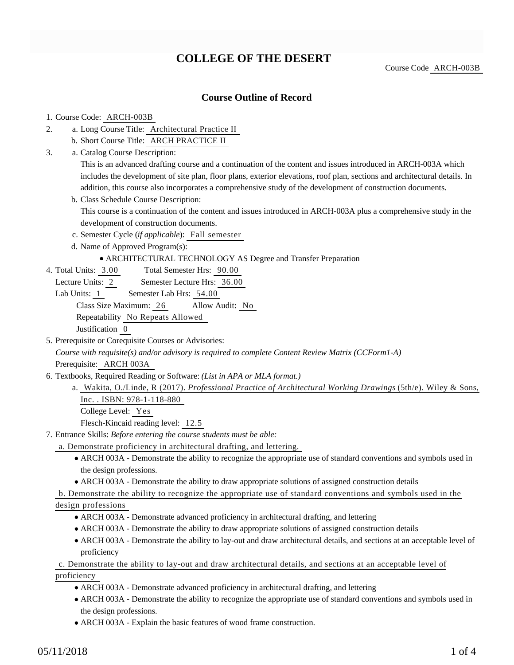# **COLLEGE OF THE DESERT**

Course Code ARCH-003B

### **Course Outline of Record**

#### 1. Course Code: ARCH-003B

- a. Long Course Title: Architectural Practice II 2.
	- b. Short Course Title: ARCH PRACTICE II
- Catalog Course Description: a. 3.

This is an advanced drafting course and a continuation of the content and issues introduced in ARCH-003A which includes the development of site plan, floor plans, exterior elevations, roof plan, sections and architectural details. In addition, this course also incorporates a comprehensive study of the development of construction documents.

- b. Class Schedule Course Description: This course is a continuation of the content and issues introduced in ARCH-003A plus a comprehensive study in the development of construction documents.
- c. Semester Cycle (*if applicable*): Fall semester
- d. Name of Approved Program(s):

#### ARCHITECTURAL TECHNOLOGY AS Degree and Transfer Preparation

- Total Semester Hrs: 90.00 4. Total Units: 3.00
	- Lecture Units: 2 Semester Lecture Hrs: 36.00
	- Lab Units: 1 Semester Lab Hrs: 54.00

Class Size Maximum: 26 Allow Audit: No

Repeatability No Repeats Allowed

Justification 0

5. Prerequisite or Corequisite Courses or Advisories:

*Course with requisite(s) and/or advisory is required to complete Content Review Matrix (CCForm1-A)* Prerequisite: ARCH 003A

- 6. Textbooks, Required Reading or Software: (List in APA or MLA format.)
	- Wakita, O./Linde, R (2017). *Professional Practice of Architectural Working Drawings* (5th/e). Wiley & Sons, a. Inc. . ISBN: 978-1-118-880 College Level: Yes

Flesch-Kincaid reading level: 12.5

- Entrance Skills: *Before entering the course students must be able:* 7.
	- a. Demonstrate proficiency in architectural drafting, and lettering.
		- ARCH 003A Demonstrate the ability to recognize the appropriate use of standard conventions and symbols used in the design professions.
		- ARCH 003A Demonstrate the ability to draw appropriate solutions of assigned construction details

b. Demonstrate the ability to recognize the appropriate use of standard conventions and symbols used in the

#### design professions

- ARCH 003A Demonstrate advanced proficiency in architectural drafting, and lettering
- ARCH 003A Demonstrate the ability to draw appropriate solutions of assigned construction details
- ARCH 003A Demonstrate the ability to lay-out and draw architectural details, and sections at an acceptable level of proficiency

c. Demonstrate the ability to lay-out and draw architectural details, and sections at an acceptable level of proficiency

- ARCH 003A Demonstrate advanced proficiency in architectural drafting, and lettering
- ARCH 003A Demonstrate the ability to recognize the appropriate use of standard conventions and symbols used in the design professions.
- ARCH 003A Explain the basic features of wood frame construction.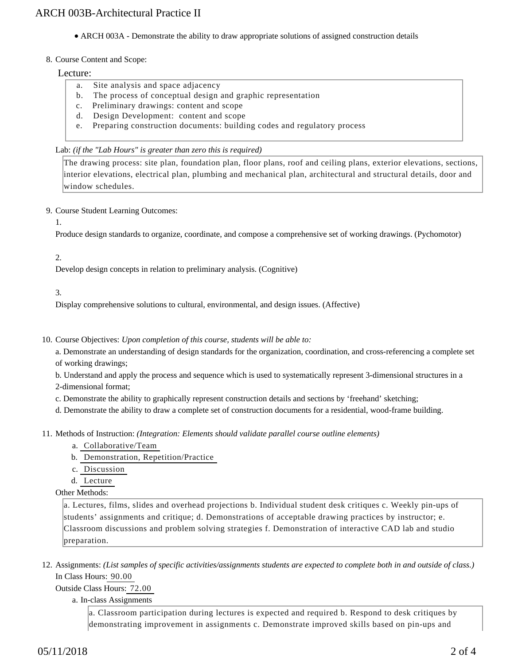• ARCH 003A - Demonstrate the ability to draw appropriate solutions of assigned construction details

#### 8. Course Content and Scope:

#### Lecture:

- a. Site analysis and space adjacency
- b. The process of conceptual design and graphic representation
- c. Preliminary drawings: content and scope
- d. Design Development: content and scope
- e. Preparing construction documents: building codes and regulatory process

#### Lab: *(if the "Lab Hours" is greater than zero this is required)*

The drawing process: site plan, foundation plan, floor plans, roof and ceiling plans, exterior elevations, sections, interior elevations, electrical plan, plumbing and mechanical plan, architectural and structural details, door and window schedules.

9. Course Student Learning Outcomes:

1.

Produce design standards to organize, coordinate, and compose a comprehensive set of working drawings. (Pychomotor)

#### 2.

Develop design concepts in relation to preliminary analysis. (Cognitive)

#### 3.

Display comprehensive solutions to cultural, environmental, and design issues. (Affective)

10. Course Objectives: Upon completion of this course, students will be able to:

a. Demonstrate an understanding of design standards for the organization, coordination, and cross-referencing a complete set of working drawings;

b. Understand and apply the process and sequence which is used to systematically represent 3-dimensional structures in a 2-dimensional format;

- c. Demonstrate the ability to graphically represent construction details and sections by 'freehand' sketching;
- d. Demonstrate the ability to draw a complete set of construction documents for a residential, wood-frame building.

11. Methods of Instruction: *(Integration: Elements should validate parallel course outline elements)* 

- a. Collaborative/Team
- b. Demonstration, Repetition/Practice
- c. Discussion
- d. Lecture

Other Methods:

a. Lectures, films, slides and overhead projections b. Individual student desk critiques c. Weekly pin-ups of students' assignments and critique; d. Demonstrations of acceptable drawing practices by instructor; e. Classroom discussions and problem solving strategies f. Demonstration of interactive CAD lab and studio preparation.

12. Assignments: (List samples of specific activities/assignments students are expected to complete both in and outside of class.) In Class Hours: 90.00

Outside Class Hours: 72.00

#### a. In-class Assignments

a. Classroom participation during lectures is expected and required b. Respond to desk critiques by demonstrating improvement in assignments c. Demonstrate improved skills based on pin-ups and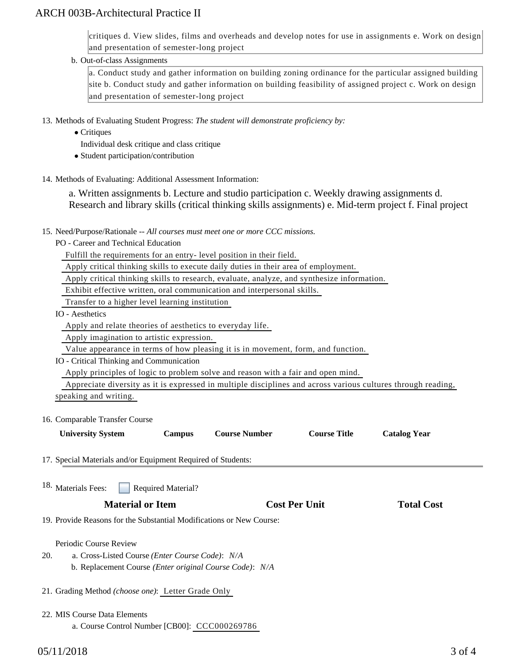# ARCH 003B-Architectural Practice II

critiques d. View slides, films and overheads and develop notes for use in assignments e. Work on design and presentation of semester-long project

b. Out-of-class Assignments

a. Conduct study and gather information on building zoning ordinance for the particular assigned building site b. Conduct study and gather information on building feasibility of assigned project c. Work on design and presentation of semester-long project

13. Methods of Evaluating Student Progress: The student will demonstrate proficiency by:

• Critiques

Individual desk critique and class critique

- Student participation/contribution
- 14. Methods of Evaluating: Additional Assessment Information:

a. Written assignments b. Lecture and studio participation c. Weekly drawing assignments d. Research and library skills (critical thinking skills assignments) e. Mid-term project f. Final project

- 15. Need/Purpose/Rationale -- All courses must meet one or more CCC missions.
	- PO Career and Technical Education

Fulfill the requirements for an entry- level position in their field.

Apply critical thinking skills to execute daily duties in their area of employment.

Apply critical thinking skills to research, evaluate, analyze, and synthesize information.

Exhibit effective written, oral communication and interpersonal skills.

Transfer to a higher level learning institution

IO - Aesthetics

Apply and relate theories of aesthetics to everyday life.

Apply imagination to artistic expression.

Value appearance in terms of how pleasing it is in movement, form, and function.

IO - Critical Thinking and Communication

Apply principles of logic to problem solve and reason with a fair and open mind.

 Appreciate diversity as it is expressed in multiple disciplines and across various cultures through reading, speaking and writing.

16. Comparable Transfer Course

| <b>University System</b> | Campus | <b>Course Number</b> |  |
|--------------------------|--------|----------------------|--|
|                          |        |                      |  |

**University System Campus Course Number Course Title Catalog Year**

**Total Cost** 

- 17. Special Materials and/or Equipment Required of Students:
- Required Material? 18. Materials Fees:

19. Provide Reasons for the Substantial Modifications or New Course:

Periodic Course Review

- a. Cross-Listed Course *(Enter Course Code)*: *N/A* b. Replacement Course *(Enter original Course Code)*: *N/A* 20.
- 21. Grading Method *(choose one)*: Letter Grade Only
- 22. MIS Course Data Elements
	- a. Course Control Number [CB00]: CCC000269786